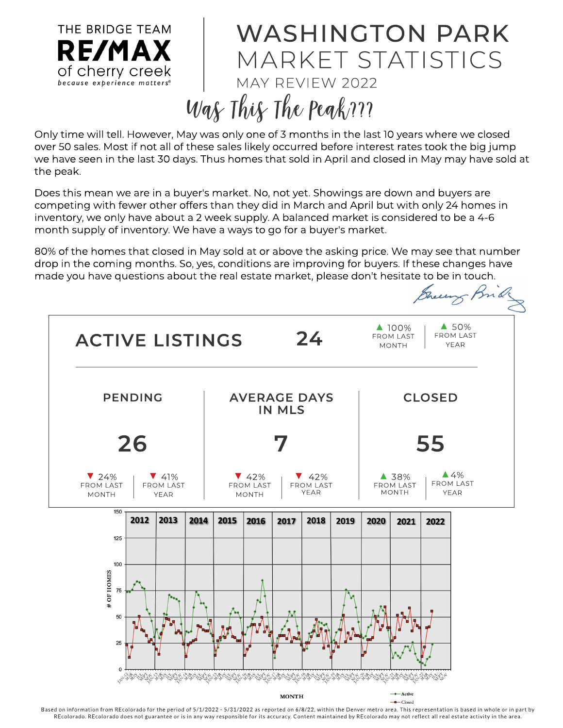

## WASHINGTON PARK M ARKET STATISTICS MAY REVIEW 2022 Was This The Peak ???

Only time will tell. However, May was only one of 3 months in the last 10 years where we closed over 50 sales. Most if not all of these sales likely occurred before interest rates took the big jump we have seen in the last 30 days. Thus homes that sold in April and closed in May may have sold at the peak.

Does this mean we are in a buyer's market. No, not yet. Showings are down and buyers are competing with fewer other offers than they did in March and April but with only 24 homes in inventory, we only have about a 2 week supply. A balanced market is considered to be a 4-6 month supply of inventory. We have a ways to go for a buyer's market.

80% of the homes that closed in May sold at or above the asking price. We may see that number drop in the coming months. So, yes, conditions are improving for buyers. If these changes have made you have questions about the real estate market, please don't hesitate to be in touch.



Based on information from REcolorado for the period of 5/1/2022 - 5/31/2022 as reported on 6/8/22, within the Denver metro area. This representation is based in whole or in part by REcolorado. REcolorado does not guarantee or is in any way responsible for its accuracy. Content maintained by REcolorado may not reflect all real estate activity in the area.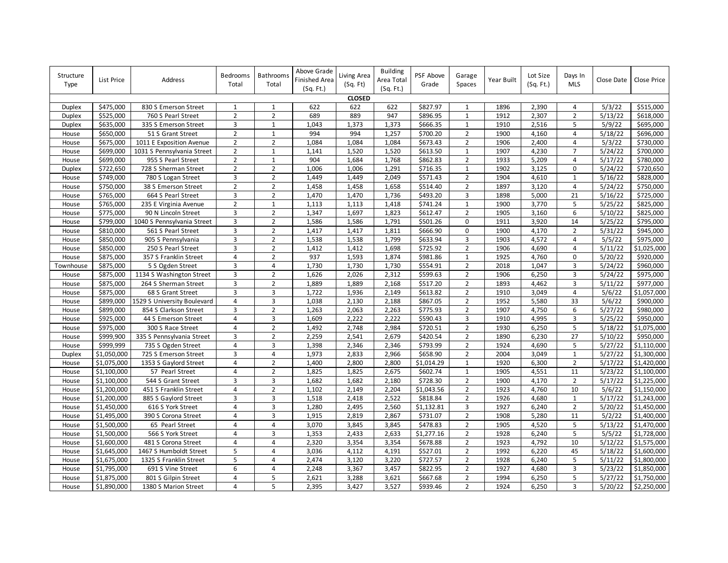| Structure<br><b>Type</b> | List Price  | Address                     | Bedrooms<br>Total       | Bathrooms<br>Total | Above Grade<br>Finished Area<br>(Sq. Ft.) | Living Area<br>(Sq. Ft) | <b>Building</b><br>Area Total<br>(Sq. Ft.) | PSF Above<br>Grade | Garage<br>Spaces | Year Built | Lot Size<br>(Sq. Ft.) | Days In<br><b>MLS</b> | Close Date | Close Price             |
|--------------------------|-------------|-----------------------------|-------------------------|--------------------|-------------------------------------------|-------------------------|--------------------------------------------|--------------------|------------------|------------|-----------------------|-----------------------|------------|-------------------------|
|                          |             |                             |                         |                    |                                           | <b>CLOSED</b>           |                                            |                    |                  |            |                       |                       |            |                         |
| Duplex                   | \$475,000   | 830 S Emerson Street        | 1                       | 1                  | 622                                       | 622                     | 622                                        | \$827.97           | $\mathbf{1}$     | 1896       | 2,390                 | 4                     | 5/3/22     | \$515,000               |
| <b>Duplex</b>            | \$525,000   | 760 S Pearl Street          | $\overline{2}$          | $\overline{2}$     | 689                                       | 889                     | 947                                        | \$896.95           | $\mathbf{1}$     | 1912       | 2,307                 | $\overline{2}$        | 5/13/22    | 5618,000                |
| Duplex                   | \$635,000   | 335 S Emerson Street        | $\overline{3}$          | $\mathbf 1$        | 1,043                                     | 1,373                   | 1,373                                      | \$666.35           | $\mathbf 1$      | 1910       | 2,516                 | 5                     | 5/9/22     | \$695,000               |
| House                    | \$650,000   | 51 S Grant Street           | $\overline{2}$          | $\mathbf{1}$       | 994                                       | 994                     | 1,257                                      | \$700.20           | $\overline{2}$   | 1900       | 4,160                 | 4                     | 5/18/22    | \$696,000               |
| House                    | \$675,000   | 1011 E Exposition Avenue    | $\overline{2}$          | $\overline{2}$     | 1,084                                     | 1,084                   | 1,084                                      | \$673.43           | $\overline{2}$   | 1906       | 2,400                 | $\overline{4}$        | 5/3/22     | \$730,000               |
| House                    | \$699,000   | 1031 S Pennsylvania Street  | $\overline{2}$          | $\mathbf{1}$       | 1,141                                     | 1,520                   | 1,520                                      | \$613.50           | $\mathbf{1}$     | 1907       | 4,230                 | $\overline{7}$        | 5/24/22    | \$700,000               |
| House                    | \$699,000   | 955 S Pearl Street          | $\overline{2}$          | $\mathbf{1}$       | 904                                       | 1,684                   | 1,768                                      | \$862.83           | $\overline{2}$   | 1933       | 5,209                 | 4                     | 5/17/22    | \$780,000               |
| Duplex                   | \$722,650   | 728 S Sherman Street        | $\overline{2}$          | $\overline{2}$     | 1,006                                     | 1,006                   | 1,291                                      | 5716.35            | $\mathbf{1}$     | 1902       | 3,125                 | $\mathbf 0$           | 5/24/22    | \$720,650               |
| House                    | \$749,000   | 780 S Logan Street          | $\overline{\mathbf{3}}$ | $\overline{2}$     | 1,449                                     | 1,449                   | 2,049                                      | \$571.43           | $\overline{2}$   | 1904       | 4,610                 | $\mathbf{1}$          | 5/16/22    | \$828,000               |
| House                    | \$750,000   | 38 S Emerson Street         | $\overline{2}$          | $\overline{2}$     | 1,458                                     | 1,458                   | 1,658                                      | \$514.40           | $\overline{2}$   | 1897       | 3,120                 | 4                     | 5/24/22    | \$750,000               |
| House                    | \$765,000   | 664 S Pearl Street          | 3                       | $\overline{2}$     | 1,470                                     | 1,470                   | 1,736                                      | \$493.20           | 3                | 1898       | 5,000                 | 21                    | 5/16/22    | \$725,000               |
| House                    | \$765,000   | 235 E Virginia Avenue       | $\mathbf 2$             | $\mathbf 1$        | 1,113                                     | 1,113                   | 1,418                                      | \$741.24           | $\mathbf 1$      | 1900       | 3,770                 | 5                     | 5/25/22    | \$825,000               |
| House                    | \$775,000   | 90 N Lincoln Street         | 3                       | $\overline{2}$     | 1,347                                     | 1,697                   | 1,823                                      | \$612.47           | $\overline{2}$   | 1905       | 3,160                 | 6                     | 5/10/22    | \$825,000               |
| House                    | \$799,000   | 1040 S Pennsylvania Street  | 3                       | $\overline{2}$     | 1,586                                     | 1,586                   | 1,791                                      | \$501.26           | 0                | 1911       | 3,920                 | 14                    | 5/25/22    | \$795,000               |
| House                    | \$810,000   | 561 S Pearl Street          | 3                       | $\overline{2}$     | 1,417                                     | 1,417                   | 1,811                                      | \$666.90           | 0                | 1900       | 4,170                 | $\overline{2}$        | 5/31/22    | \$945,000               |
| House                    | \$850,000   | 905 S Pennsylvania          | 3                       | $\overline{2}$     | 1,538                                     | 1,538                   | 1,799                                      | \$633.94           | 3                | 1903       | 4,572                 | $\overline{4}$        | 5/5/22     | \$975,000               |
| House                    | \$850,000   | 250 S Pearl Street          | $\overline{\mathbf{3}}$ | $\overline{2}$     | 1,412                                     | 1,412                   | 1,698                                      | \$725.92           | $\overline{2}$   | 1906       | 4,690                 | 4                     | 5/11/22    | \$1,025,000             |
| House                    | \$875,000   | 357 S Franklin Street       | $\overline{4}$          | $\overline{2}$     | 937                                       | 1,593                   | 1,874                                      | \$981.86           | $\mathbf 1$      | 1925       | 4,760                 | $\Omega$              | 5/20/22    | \$920,000               |
| Townhouse                | \$875,000   | 5 S Ogden Street            | 3                       | 4                  | 1,730                                     | 1,730                   | 1,730                                      | \$554.91           | $\overline{2}$   | 2018       | 1,047                 | 3                     | 5/24/22    | \$960,000               |
| House                    | \$875,000   | 1134 S Washington Street    | $\overline{\mathbf{3}}$ | $\overline{2}$     | 1,626                                     | 2,026                   | 2,312                                      | \$599.63           | $\overline{2}$   | 1906       | 6,250                 | 3                     | 5/24/22    | \$975,000               |
| House                    | \$875,000   | 264 S Sherman Street        | $\overline{\mathbf{3}}$ | $\overline{2}$     | 1,889                                     | 1,889                   | 2,168                                      | \$517.20           | $\overline{2}$   | 1893       | 4,462                 | 3                     | 5/11/22    | \$977,000               |
| House                    | \$875,000   | 68 S Grant Street           | $\overline{3}$          | 3                  | 1,722                                     | 1,936                   | 2,149                                      | \$613.82           | $\overline{2}$   | 1910       | 3,049                 | 4                     | 5/6/22     | $\overline{$}1,057,000$ |
| House                    | \$899,000   | 1529 S University Boulevard | $\overline{4}$          | 3                  | 1,038                                     | 2,130                   | 2,188                                      | \$867.05           | $\overline{2}$   | 1952       | 5,580                 | 33                    | 5/6/22     | \$900,000               |
| House                    | \$899,000   | 854 S Clarkson Street       | 3                       | $\overline{2}$     | 1,263                                     | 2,063                   | 2,263                                      | \$775.93           | $\overline{2}$   | 1907       | 4,750                 | 6                     | 5/27/22    | \$980,000               |
| House                    | \$925,000   | 44 S Emerson Street         | $\overline{4}$          | 3                  | 1,609                                     | 2,222                   | 2,222                                      | \$590.43           | 3                | 1910       | 4,995                 | 3                     | 5/25/22    | \$950,000               |
| House                    | \$975,000   | 300 S Race Street           | $\overline{4}$          | $\overline{2}$     | 1,492                                     | 2,748                   | 2,984                                      | 5720.51            | $\overline{2}$   | 1930       | 6,250                 | 5                     | 5/18/22    | \$1,075,000             |
| House                    | \$999,900   | 335 S Pennsylvania Street   | $\overline{3}$          | $\overline{2}$     | 2,259                                     | 2,541                   | 2,679                                      | \$420.54           | $\overline{2}$   | 1890       | 6,230                 | 27                    | 5/10/22    | \$950,000               |
| House                    | \$999,999   | 735 S Ogden Street          | 4                       | 3                  | 1,398                                     | 2,346                   | 2,346                                      | \$793.99           | $\overline{2}$   | 1924       | 4,690                 | 5                     | 5/27/22    | \$1,110,000             |
| <b>Duplex</b>            | \$1,050,000 | 725 S Emerson Street        | 3                       | $\overline{4}$     | 1,973                                     | 2,833                   | 2,966                                      | \$658.90           | $\overline{2}$   | 2004       | 3,049                 | $\mathbf{1}$          | 5/27/22    | \$1,300,000             |
| House                    | \$1,075,000 | 1353 S Gaylord Street       | $\sqrt{4}$              | $\overline{2}$     | 1,400                                     | 2,800                   | 2,800                                      | \$1,014.29         | $\mathbf 1$      | 1920       | 6,300                 | $\overline{2}$        | 5/17/22    | \$1,420,000             |
| House                    | \$1,100,000 | 57 Pearl Street             | $\overline{4}$          | $\overline{2}$     | 1,825                                     | 1,825                   | 2,675                                      | \$602.74           | $\mathbf{1}$     | 1905       | 4,551                 | 11                    | 5/23/22    | \$1,100,000             |
| House                    | \$1,100,000 | 544 S Grant Street          | $\overline{3}$          | 3                  | 1,682                                     | 1,682                   | 2,180                                      | \$728.30           | $\overline{2}$   | 1900       | 4,170                 | $\overline{2}$        | 5/17/22    | \$1,225,000             |
| House                    | \$1,200,000 | 451 S Franklin Street       | $\overline{4}$          | $\overline{2}$     | 1,102                                     | 2,149                   | 2,204                                      | \$1,043.56         | $\overline{2}$   | 1923       | 4,760                 | 10                    | 5/6/22     | \$1,150,000             |
| House                    | \$1,200,000 | 885 S Gaylord Street        | 3                       | 3                  | 1,518                                     | 2,418                   | 2,522                                      | \$818.84           | $\overline{2}$   | 1926       | 4,680                 | $\mathbf{1}$          | 5/17/22    | \$1,243,000             |
| House                    | \$1,450,000 | 616 S York Street           | $\overline{4}$          | 3                  | 1,280                                     | 2,495                   | 2,560                                      | \$1,132.81         | 3                | 1927       | 6,240                 | $\overline{2}$        | 5/20/22    | \$1,450,000             |
| House                    | \$1,495,000 | 390 S Corona Street         | $\overline{4}$          | 3                  | 1,915                                     | 2,819                   | 2,867                                      | \$731.07           | $\overline{2}$   | 1908       | 5,280                 | 11                    | 5/2/22     | \$1,400,000             |
| House                    | \$1,500,000 | 65 Pearl Street             | $\overline{4}$          | 4                  | 3,070                                     | 3,845                   | 3,845                                      | \$478.83           | $\overline{2}$   | 1905       | 4,520                 | 5                     | 5/13/22    | \$1,470,000             |
| House                    | \$1,500,000 | 566 S York Street           | $\overline{4}$          | 3                  | 1,353                                     | 2,433                   | 2,633                                      | \$1,277.16         | $\overline{2}$   | 1928       | 6,240                 | 5                     | 5/5/22     | \$1,728,000             |
| House                    | \$1,600,000 | 481 S Corona Street         | $\sqrt{4}$              | 4                  | 2,320                                     | 3,354                   | 3,354                                      | \$678.88           | $\overline{2}$   | 1923       | 4,792                 | 10                    | 5/12/22    | \$1,575,000             |
| House                    | \$1,645,000 | 1467 S Humboldt Street      | 5                       | 4                  | 3,036                                     | 4,112                   | 4,191                                      | \$527.01           | $\overline{2}$   | 1992       | 6,220                 | 45                    | 5/18/22    | \$1,600,000             |
| House                    | \$1,675,000 | 1325 S Franklin Street      | 5                       | $\overline{4}$     | 2,474                                     | 3,120                   | 3,220                                      | \$727.57           | $\overline{2}$   | 1928       | 6,240                 | 5                     | 5/11/22    | \$1,800,000             |
| House                    | \$1,795,000 | 691 S Vine Street           | 6                       | 4                  | 2,248                                     | 3,367                   | 3,457                                      | \$822.95           | $\overline{2}$   | 1927       | 4,680                 | 3                     | 5/23/22    | \$1,850,000             |
| House                    | \$1,875,000 | 801 S Gilpin Street         | $\overline{4}$          | 5                  | 2,621                                     | 3,288                   | 3,621                                      | \$667.68           | $\overline{2}$   | 1994       | 6,250                 | 5                     | 5/27/22    | \$1,750,000             |
| House                    | \$1,890,000 | 1380 S Marion Street        | $\overline{4}$          | 5                  | 2,395                                     | 3,427                   | 3,527                                      | \$939.46           | $\overline{2}$   | 1924       | 6,250                 | 3                     | 5/20/22    | \$2,250,000             |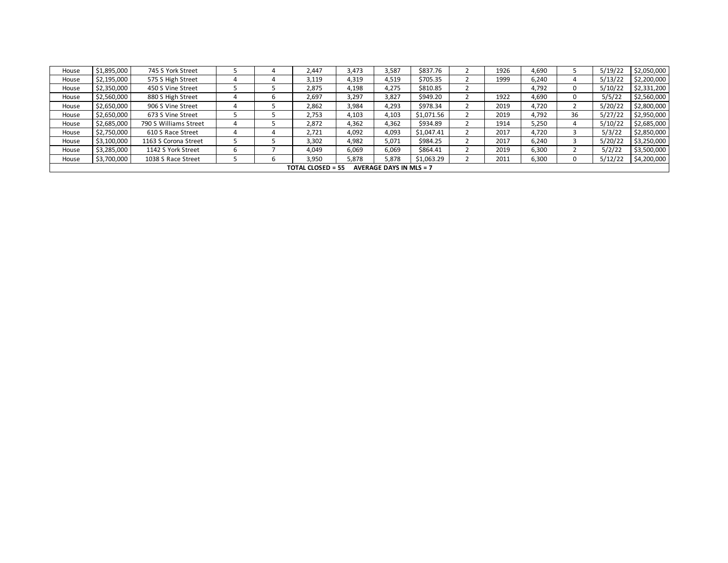| House | \$1,895,000                                                | 745 S York Street     |  |  | 2.447 | 3,473 | 3,587 | \$837.76   |  | 1926 | 4,690 |    | 5/19/22 | \$2,050,000 |
|-------|------------------------------------------------------------|-----------------------|--|--|-------|-------|-------|------------|--|------|-------|----|---------|-------------|
| House | \$2,195,000                                                | 575 S High Street     |  |  | 3,119 | 4,319 | 4,519 | \$705.35   |  | 1999 | 6,240 | 4  | 5/13/22 | \$2,200,000 |
| House | \$2,350,000                                                | 450 S Vine Street     |  |  | 2,875 | 4,198 | 4,275 | \$810.85   |  |      | 4,792 | 0  | 5/10/22 | \$2,331,200 |
| House | \$2,560,000                                                | 880 S High Street     |  |  | 2,697 | 3,297 | 3,827 | \$949.20   |  | 1922 | 4,690 | 0  | 5/5/22  | \$2,560,000 |
| House | \$2,650,000                                                | 906 S Vine Street     |  |  | 2,862 | 3,984 | 4,293 | \$978.34   |  | 2019 | 4.720 |    | 5/20/22 | \$2,800,000 |
| House | \$2,650,000                                                | 673 S Vine Street     |  |  | 2,753 | 4,103 | 4,103 | \$1,071.56 |  | 2019 | 4,792 | 36 | 5/27/22 | \$2,950,000 |
| House | \$2,685,000                                                | 790 S Williams Street |  |  | 2,872 | 4,362 | 4,362 | \$934.89   |  | 1914 | 5,250 | 4  | 5/10/22 | \$2,685,000 |
| House | \$2,750,000                                                | 610 S Race Street     |  |  | 2,721 | 4,092 | 4,093 | \$1,047.41 |  | 2017 | 4,720 |    | 5/3/22  | \$2,850,000 |
| House | \$3,100,000                                                | 1163 S Corona Street  |  |  | 3,302 | 4,982 | 5,071 | \$984.25   |  | 2017 | 6,240 |    | 5/20/22 | \$3,250,000 |
| House | \$3,285,000                                                | 1142 S York Street    |  |  | 4.049 | 6,069 | 6,069 | \$864.41   |  | 2019 | 6,300 |    | 5/2/22  | \$3,500,000 |
| House | \$3,700,000                                                | 1038 S Race Street    |  |  | 3.950 | 5,878 | 5,878 | \$1,063.29 |  | 2011 | 6,300 |    | 5/12/22 | \$4,200,000 |
|       | <b>TOTAL CLOSED = 55</b><br><b>AVERAGE DAYS IN MLS = 7</b> |                       |  |  |       |       |       |            |  |      |       |    |         |             |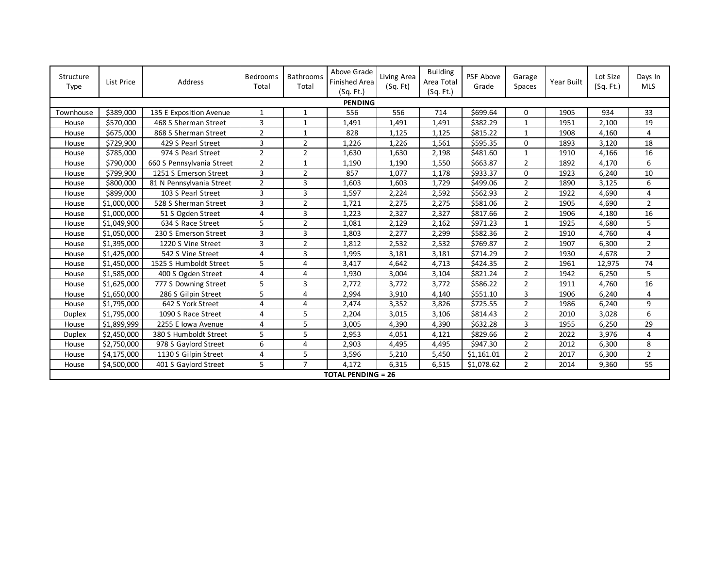| Structure<br>Type | List Price  | Address                   | Bedrooms<br>Total | <b>Bathrooms</b><br>Total | Above Grade<br>Finished Area<br>(Sq. Ft.) | Living Area<br>(Sq. Ft) | <b>Building</b><br>Area Total<br>(Sq. Ft.) | PSF Above<br>Grade | Garage<br>Spaces | Year Built | Lot Size<br>(Sq. Ft.) | Days In<br><b>MLS</b> |
|-------------------|-------------|---------------------------|-------------------|---------------------------|-------------------------------------------|-------------------------|--------------------------------------------|--------------------|------------------|------------|-----------------------|-----------------------|
| <b>PENDING</b>    |             |                           |                   |                           |                                           |                         |                                            |                    |                  |            |                       |                       |
| Townhouse         | \$389,000   | 135 E Exposition Avenue   | 1                 | 1                         | 556                                       | 556                     | 714                                        | \$699.64           | 0                | 1905       | 934                   | 33                    |
| House             | \$570,000   | 468 S Sherman Street      | 3                 | $\mathbf{1}$              | 1,491                                     | 1,491                   | 1,491                                      | \$382.29           | $\mathbf{1}$     | 1951       | 2,100                 | 19                    |
| House             | \$675,000   | 868 S Sherman Street      | $\overline{2}$    | $\mathbf{1}$              | 828                                       | 1,125                   | 1,125                                      | \$815.22           | $\mathbf{1}$     | 1908       | 4,160                 | 4                     |
| House             | \$729,900   | 429 S Pearl Street        | 3                 | $\overline{2}$            | 1,226                                     | 1,226                   | 1,561                                      | \$595.35           | 0                | 1893       | 3,120                 | 18                    |
| House             | \$785,000   | 974 S Pearl Street        | $\overline{2}$    | $\overline{2}$            | 1,630                                     | 1,630                   | 2,198                                      | \$481.60           | $\mathbf 1$      | 1910       | 4,166                 | 16                    |
| House             | \$790,000   | 660 S Pennsylvania Street | $\overline{2}$    | $\mathbf{1}$              | 1,190                                     | 1,190                   | 1,550                                      | \$663.87           | $\overline{2}$   | 1892       | 4,170                 | 6                     |
| House             | \$799,900   | 1251 S Emerson Street     | 3                 | $\overline{2}$            | 857                                       | 1,077                   | 1,178                                      | \$933.37           | $\Omega$         | 1923       | 6,240                 | 10                    |
| House             | \$800,000   | 81 N Pennsylvania Street  | $\overline{2}$    | 3                         | 1,603                                     | 1,603                   | 1,729                                      | \$499.06           | $\overline{2}$   | 1890       | 3,125                 | 6                     |
| House             | \$899,000   | 103 S Pearl Street        | 3                 | 3                         | 1,597                                     | 2,224                   | 2,592                                      | \$562.93           | $\overline{2}$   | 1922       | 4,690                 | 4                     |
| House             | \$1,000,000 | 528 S Sherman Street      | 3                 | $\overline{2}$            | 1,721                                     | 2,275                   | 2,275                                      | \$581.06           | $\overline{2}$   | 1905       | 4,690                 | $\overline{2}$        |
| House             | \$1,000,000 | 51 S Ogden Street         | 4                 | 3                         | 1,223                                     | 2,327                   | 2,327                                      | \$817.66           | $\overline{2}$   | 1906       | 4,180                 | 16                    |
| House             | \$1,049,900 | 634 S Race Street         | 5                 | $\overline{2}$            | 1,081                                     | 2,129                   | 2,162                                      | \$971.23           | $\mathbf{1}$     | 1925       | 4,680                 | 5                     |
| House             | \$1,050,000 | 230 S Emerson Street      | 3                 | 3                         | 1,803                                     | 2,277                   | 2,299                                      | \$582.36           | $\overline{2}$   | 1910       | 4,760                 | 4                     |
| House             | \$1,395,000 | 1220 S Vine Street        | 3                 | $\overline{2}$            | 1,812                                     | 2,532                   | 2,532                                      | \$769.87           | $\overline{2}$   | 1907       | 6,300                 | $\overline{2}$        |
| House             | \$1,425,000 | 542 S Vine Street         | $\overline{4}$    | 3                         | 1,995                                     | 3,181                   | 3,181                                      | \$714.29           | $\overline{2}$   | 1930       | 4,678                 | $\overline{2}$        |
| House             | \$1,450,000 | 1525 S Humboldt Street    | 5                 | 4                         | 3,417                                     | 4,642                   | 4,713                                      | \$424.35           | $\overline{2}$   | 1961       | 12,975                | 74                    |
| House             | \$1,585,000 | 400 S Ogden Street        | 4                 | 4                         | 1,930                                     | 3,004                   | 3,104                                      | \$821.24           | $\overline{2}$   | 1942       | 6,250                 | 5                     |
| House             | \$1,625,000 | 777 S Downing Street      | 5                 | 3                         | 2,772                                     | 3,772                   | 3,772                                      | \$586.22           | $\overline{2}$   | 1911       | 4,760                 | 16                    |
| House             | \$1,650,000 | 286 S Gilpin Street       | 5                 | $\overline{4}$            | 2,994                                     | 3,910                   | 4,140                                      | \$551.10           | 3                | 1906       | 6,240                 | 4                     |
| House             | \$1,795,000 | 642 S York Street         | $\overline{4}$    | 4                         | 2,474                                     | 3,352                   | 3,826                                      | \$725.55           | $\overline{2}$   | 1986       | 6,240                 | 9                     |
| <b>Duplex</b>     | \$1,795,000 | 1090 S Race Street        | 4                 | 5                         | 2,204                                     | 3,015                   | 3,106                                      | \$814.43           | $\overline{2}$   | 2010       | 3,028                 | 6                     |
| House             | \$1,899,999 | 2255 E Iowa Avenue        | 4                 | 5                         | 3,005                                     | 4,390                   | 4,390                                      | \$632.28           | 3                | 1955       | 6,250                 | 29                    |
| <b>Duplex</b>     | \$2,450,000 | 380 S Humboldt Street     | 5                 | 5                         | 2,953                                     | 4,051                   | 4,121                                      | \$829.66           | $\overline{2}$   | 2022       | 3,976                 | 4                     |
| House             | \$2,750,000 | 978 S Gaylord Street      | 6                 | $\overline{4}$            | 2,903                                     | 4,495                   | 4,495                                      | \$947.30           | $\overline{2}$   | 2012       | 6,300                 | 8                     |
| House             | \$4,175,000 | 1130 S Gilpin Street      | $\overline{4}$    | 5                         | 3,596                                     | 5,210                   | 5,450                                      | \$1,161.01         | $\overline{2}$   | 2017       | 6,300                 | $\overline{2}$        |
| House             | \$4,500,000 | 401 S Gaylord Street      | 5                 | $\overline{7}$            | 4,172                                     | 6,315                   | 6,515                                      | \$1,078.62         | $\overline{2}$   | 2014       | 9,360                 | 55                    |
|                   |             |                           |                   |                           | <b>TOTAL PENDING = 26</b>                 |                         |                                            |                    |                  |            |                       |                       |